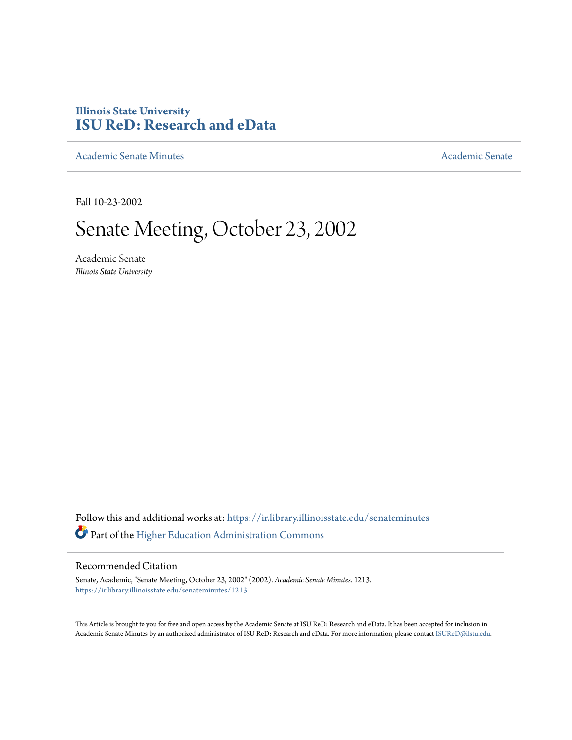## **Illinois State University [ISU ReD: Research and eData](https://ir.library.illinoisstate.edu?utm_source=ir.library.illinoisstate.edu%2Fsenateminutes%2F1213&utm_medium=PDF&utm_campaign=PDFCoverPages)**

[Academic Senate Minutes](https://ir.library.illinoisstate.edu/senateminutes?utm_source=ir.library.illinoisstate.edu%2Fsenateminutes%2F1213&utm_medium=PDF&utm_campaign=PDFCoverPages) [Academic Senate](https://ir.library.illinoisstate.edu/senate?utm_source=ir.library.illinoisstate.edu%2Fsenateminutes%2F1213&utm_medium=PDF&utm_campaign=PDFCoverPages) Academic Senate

Fall 10-23-2002

# Senate Meeting, October 23, 2002

Academic Senate *Illinois State University*

Follow this and additional works at: [https://ir.library.illinoisstate.edu/senateminutes](https://ir.library.illinoisstate.edu/senateminutes?utm_source=ir.library.illinoisstate.edu%2Fsenateminutes%2F1213&utm_medium=PDF&utm_campaign=PDFCoverPages) Part of the [Higher Education Administration Commons](http://network.bepress.com/hgg/discipline/791?utm_source=ir.library.illinoisstate.edu%2Fsenateminutes%2F1213&utm_medium=PDF&utm_campaign=PDFCoverPages)

#### Recommended Citation

Senate, Academic, "Senate Meeting, October 23, 2002" (2002). *Academic Senate Minutes*. 1213. [https://ir.library.illinoisstate.edu/senateminutes/1213](https://ir.library.illinoisstate.edu/senateminutes/1213?utm_source=ir.library.illinoisstate.edu%2Fsenateminutes%2F1213&utm_medium=PDF&utm_campaign=PDFCoverPages)

This Article is brought to you for free and open access by the Academic Senate at ISU ReD: Research and eData. It has been accepted for inclusion in Academic Senate Minutes by an authorized administrator of ISU ReD: Research and eData. For more information, please contact [ISUReD@ilstu.edu.](mailto:ISUReD@ilstu.edu)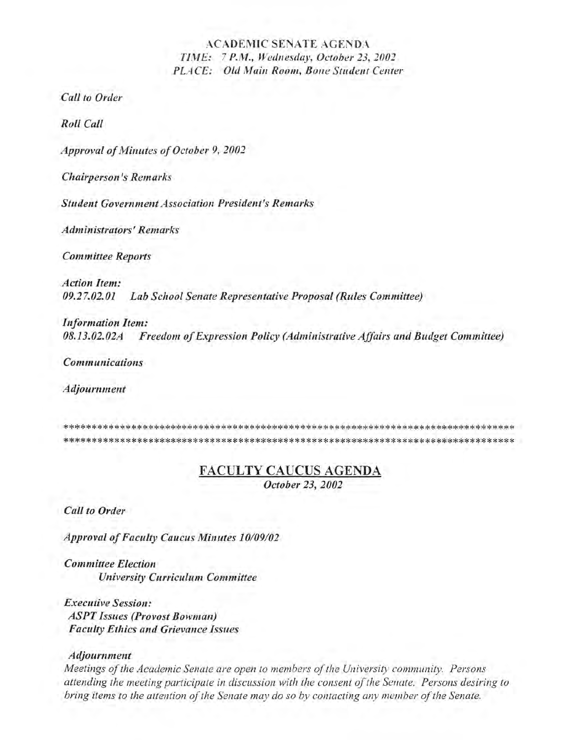#### ACADEMIC SENATE AGENDA *TIME:* 7 *P.M., Wedllesday, October 23,2002 PLACE: Old Main Room, Bone Student Center*

*Call to Order* 

*Roll Call* 

*Approval of Mill utes of October* 9, *2002* 

*Chairperson's Remarks* 

**Student Government Association President's Remarks** 

*Administrators' Remarks* 

*Committee Reports* 

*Action Item: 09.27.02.01 Lab School Senate Representative Proposal (Rules Committee)* 

*Information Item: OB.13.02.02A Freedom of Expression Policy (Administrative Affairs and Budget Committee)* 

*Communications* 

*Adjournment* 

\*\*\*\*\*\*\*\*\*\*\*\*\*\*\*\*\*\*\*\*\*\*\*\*\*\*\*\*\*\*\*\*\*\*\*\*\*\*\*\*\*\*\*\*\*\*\*\*\*\*\*\*\*\*\*\*\*\*\*\*\*\*\*\*\*\*\*\*\*\*\*\*\*\*\*\*\*\*\*\* \*\*\*\*\*\*\*\*\*\*\*\*\*\*\*\*\*\*\*\*\*\*\*\*\*\*\*\*\*\*\*\*\*\*\*\*\*\*\*\*\*\*\*\*\*\*\*\*\*\*\*\*\*\*\*\*\*\*\*\*\*\*\*\*\*\*\*\*\*\*\*\*\*\*\*\*\*\*\*\*

#### FACULTY CAUCUS AGENDA

*October* 23, *2002* 

*Call to Order* 

*Approval of Faculty Caucus Minutes 10/09/02* 

*Committee Election University Curriculum Committee* 

*Executive Session: ASPT Issues (Provost Bowman) Faculty Ethics and Grievance Issues* 

#### *Adjournment*

*Meetings of the Academic Senate are open to members of the University community. Persons attending the meeting participate in discussion with the consent of the Senate. Persons desiring to bring items to the attention of the Senate may do* so *by contacting any member of the Senate.*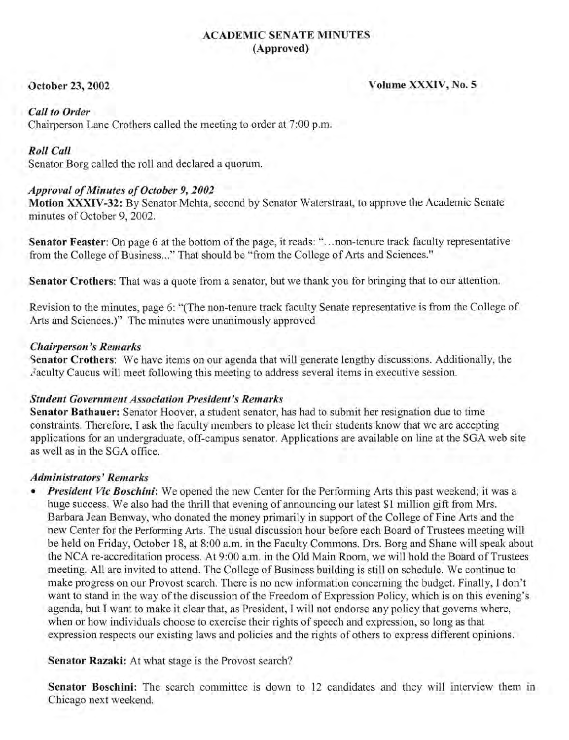#### ACADEMIC SENATE MINUTES (Approved)

October 23, 2002 Volume XXXIV, No. 5

#### *Call to Order*

Chairperson Lane Crothers called the meeting to order at 7:00 p.m.

#### *Roll Call*

Senator Borg called the roll and declared a quorum.

#### *Approval of Minutes of October* 9, *2002*

Motion XXXIV-32: By Senator Mehta, second by Senator Waterstraat, to approve the Academic Senate minutes of October 9,2002.

Senator Feaster: On page 6 at the bottom of the page, it reads: "... non-tenure track faculty representative from the College of Business..." That should be "from the College of Arts and Sciences."

Senator Crothers: That was a quote from a senator, but we thank you for bringing that to our attention.

Revision to the minutes, page 6: "(The non-tenure track faculty Senate representative is from the College of Arts and Sciences.)" The minutes were unanimously approved

#### *Chairperson's Remarks*

Senator Crothers: We have items on our agenda that will generate lengthy discussions. Additionally, the Faculty Caucus will meet following this meeting to address several items in executive session.

#### *Student Government Association President's Remarks*

Senator Bathauer: Senator Hoover, a student senator, has had to submit her resignation due to time constraints. Therefore, I ask the faculty members to please let their students know that we are accepting applications for an undergraduate, off-campus senator. Applications are available on line at the SGA web site as well as in the SGA office.

#### *Administrators'Remarks*

*• President Vic Boschini:* We opened the new Center for the Performing Arts this past weekend; it was a huge success. We also had the thrill that evening of announcing our latest \$1 million gift from Mrs. Barbara Jean Benway, who donated the money primarily in support of the College of Fine Arts and the new Center for the Perfonning Arts. The usual discussion hour before each Board of Trustees meeting will be held on Friday, October 18, at 8:00 a.m. in the Faculty Commons. Drs. Borg and Shane will speak about the NCA re-accreditation process. At 9:00 a.m. in the Old Main Room, we will hold the Board of Trustees meeting. All are invited to attend. The College of Business building is still on schedule. We continue to make progress on our Provost search. There is no new information concerning the budget. Finally, I don't want to stand in the way of the discussion of the Freedom of Expression Policy, which is on this evening's agenda, but I want to make it clear that, as President, I will not endorse any policy that governs where, when or how individuals choose to exercise their rights of speech and expression, so long as that expression respects our existing laws and policies and the rights of others to express different opinions.

Senator Razaki: At what stage is the Provost search?

Senator Boschini: The search committee is down to 12 candidates and they will interview them in Chicago next weekend.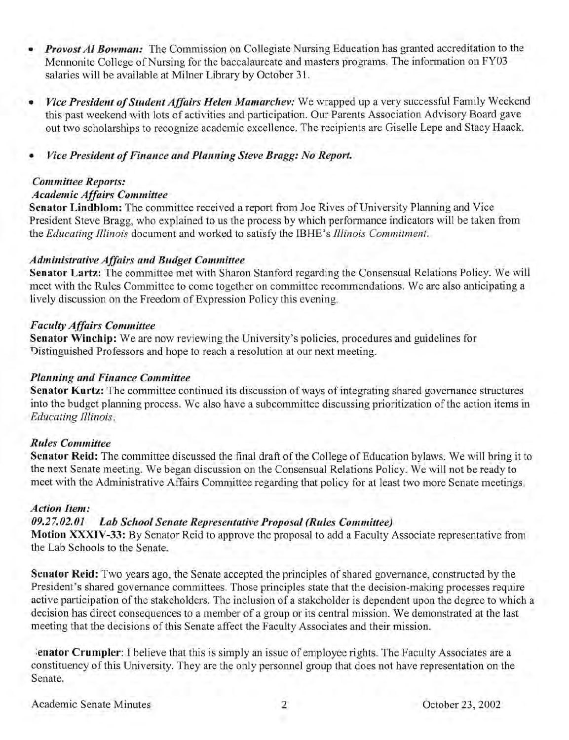- *Provost Al Bowman:* The Commission on Collegiate Nursing Education has granted accreditation to the Mennonite College of Nursing for the baccalaureate and masters programs. The information on FY03 salaries will be available at Milner Library by October 31.
- *Vice President of Student Affairs Helen Mamarchev:* We wrapped up a very successful Family Weekend this past weekend with lots of activities and participation. Our Parents Association Advisory Board gave out two scholarships to recognize academic excellence. The recipients are Giselle Lepe and Stacy Haack.
- *Vice President of Finance and Planning Steve Bragg: No Report.*

#### *Committee Reports:*

#### *Academic Affairs Committee*

Senator Lindblom: The committee received a report from Joe Rives of University Planning and Vice President Steve Bragg, who explained to us the process by which performance indicators will be taken from the *Educating Illinois* document and worked to satisfy the IBHE' s *Illinois Commitment.* 

#### *Administrative Affairs and Budget Committee*

Senator Lartz: The committee met with Sharon Stanford regarding the Consensual Relations Policy. We will meet with the Rules Committee to come together on committee recommendations. We are also anticipating a lively discussion on the Freedom of Expression Policy this evening.

#### *Faculty Affairs Committee*

Senator Winchip: We are now reviewing the University's policies, procedures and guidelines for Distinguished Professors and hope to reach a resolution at our next meeting.

### *Planning and Finance Committee*

Senator Kurtz: The committee continued its discussion of ways of integrating shared governance structures into the budget planning process. We also have a subcommittee discussing prioritization of the action items in *Educating Illinois.* 

### *Rules Committee*

Senator Reid: The committee discussed the final draft of the College of Education bylaws. We will bring it to the next Senate meeting. We began discussion on the Consensual Relations Policy. We will not be ready to meet with the Administrative Affairs Committee regarding that policy for at least two more Senate meetings.

#### *Action Item:*

### *09.27.02.01 Lab School Senate Representative Proposal (Rules Committee)*

Motion XXXIV-33: By Senator Reid to approve the proposal to add a Faculty Associate representative from the Lab Schools to the Senate.

Senator Reid: Two years ago, the Senate accepted the principles of shared governance, constructed by the President's shared governance committees. Those principles state that the decision-making processes require active participation of the stakeholders. The inclusion of a stakeholder is dependent upon the degree to which a decision has direct consequences to a member of a group or its central mission. We demonstrated at the last meeting that the decisions of this Senate affect the Faculty Associates and their mission.

;enator Crumpler: I believe that this is simply an issue of employee rights. The Faculty Associates are a constituency of this University. They are the only personnel group that does not have representation on the Senate.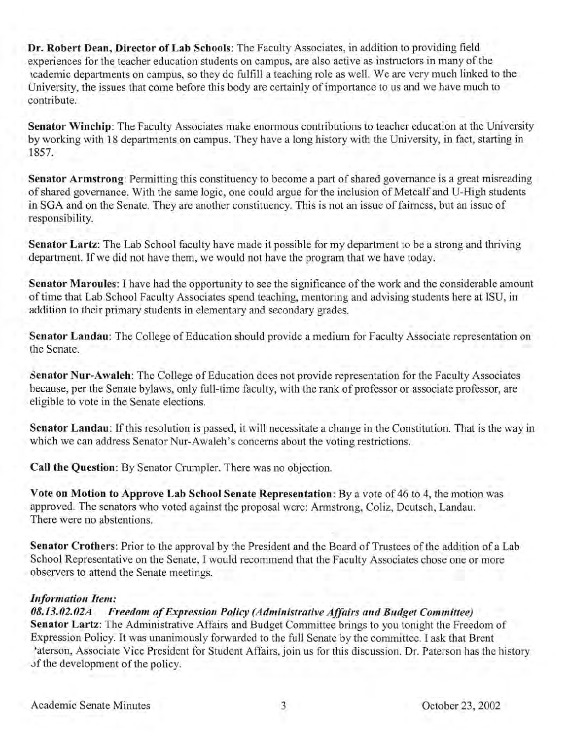**Dr. Robert Dean, Director of Lab Schools:** The Faculty Associates, in addition to providing field experiences for the teacher education students on campus, are also active as instructors in many of the lcademic departments on campus, so they do fulfill a teaching role as well. Weare very much linked to the University, the issues that come before this body are certainly of importance to us and we have much to contribute.

**Senator Winchip:** The Faculty Associates make enormous contributions to teacher education at the University by working with 18 departments on campus. They have a long history with the University, in fact, starting in 1857.

**Senator Armstrong:** Permitting this constituency to become a part of shared governance is a great misreading of shared governance. With the same logic, one could argue for the inclusion of Metcalf and U-High students in SGA and on the Senate. They are another constituency. This is not an issue of fairness, but an issue of responsibility.

**Senator Lartz:** The Lab School faculty have made it possible for my department to be a strong and thriving department. If we did not have them, we would not have the program that we have today.

**Senator Maroules:** I have had the opportunity to see the significance of the work and the considerable amount of time that Lab School Faculty Associates spend teaching, mentoring and advising students here at ISU, in addition to their primary students in elementary and secondary grades.

**Senator Landau:** The College of Education should provide a medium for Faculty Associate representation on the Senate.

**Senator Nur-Awaleh:** The College of Education does not provide representation for the Faculty Associates because, per the Senate bylaws, only full-time faculty, with the rank of professor or associate professor, are eligible to vote in the Senate elections.

**Senator Landau:** If this resolution is passed, it will necessitate a change in the Constitution. That is the way in which we can address Senator Nur-Awaleh's concerns about the voting restrictions.

**Call the Question:** By Senator Crumpler. There was no objection.

**Vote on Motion to Approve Lab School Senate Representation:** By a vote of 46 to 4, the motion was approved. The senators who voted against the proposal were: Armstrong, Coliz, Deutsch, Landau. There were no abstentions.

**Senator Crothers:** Prior to the approval by the President and the Board of Trustees of the addition of a Lab School Representative on the Senate, I would recommend that the Faculty Associates chose one or more observers to attend the Senate meetings.

#### *Information Item:*

#### *OB.13.02.02A Freedom of Expression Policy (Administrative Affairs and Budget Committee)*  **Senator Lartz:** The Administrative Affairs and Budget Committee brings to you tonight the Freedom of Expression Policy. It was unanimously forwarded to the full Senate by the committee. I ask that Brent 'aterson, Associate Vice President for Student Affairs, join us for this discussion. Dr. Paterson has the history of the development of the policy.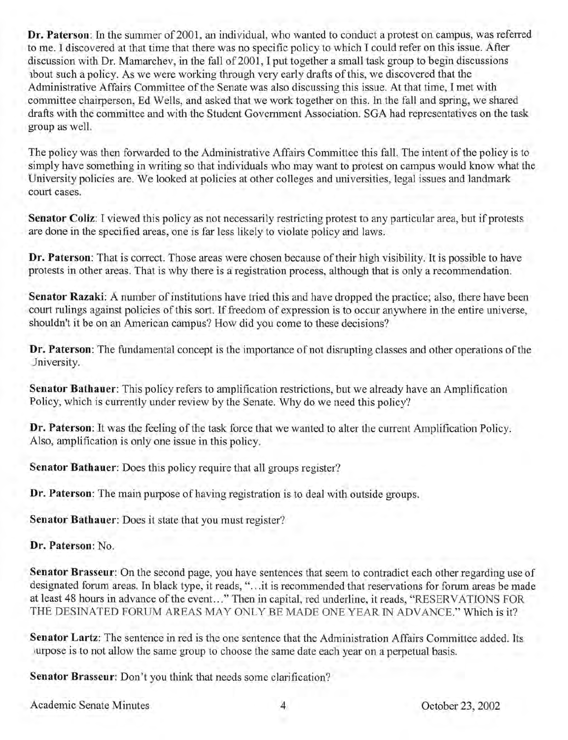**Dr. Paterson:** In the summer of 2001, an individual, who wanted to conduct a protest on campus, was referred to me. I discovered at that time that there was no specific policy to which I could refer on this issue. After discussion with Dr. Mamarchev, in the fall of 2001, I put together a small task group to begin discussions lbout such a policy. As we were working through very early drafts of this, we discovered that the Administrative Affairs Committee of the Senate was also discussing this issue. At that time, I met with committee chairperson, Ed Wells, and asked that we work together on this. In the fall and spring, we shared drafts with the committee and with the Student Goverriment Association. SGA had representatives on the task group as well.

The policy was then forwarded to the Administrative Affairs Committee this fall. The intent of the policy is to simply have something in writing so that individuals who may want to protest on campus would know what the University policies are. We looked at policies at other colleges and universities, legal issues and landmark court cases.

**Senator Coliz:** I viewed this policy as not necessarily restricting protest to any particular area, but if protests are done in the specified areas, one is far less likely to violate policy and laws.

**Dr. Paterson:** That is correct. Those areas were chosen because of their high visibility. It is possible to have protests in other areas. That is why there is a registration process, although that is only a recommendation.

**Senator Razaki:** A number of institutions have tried this and have dropped the practice; also, there have been court rulings against policies of this sort. If freedom of expression is to occur anywhere in the entire universe, shouldn't it be on an American campus? How did you come to these decisions?

**Dr. Paterson:** The fundamental concept is the importance of not disrupting classes and other operations of the Jniversity.

**Senator Bathauer:** This policy refers to amplification restrictions, but we already have an Amplification Policy, which is currently under review by the Senate. Why do we need this policy?

**Dr. Paterson:** It was the feeling of the task force that we wanted to alter the current Amplification Policy. Also, amplification is only one issue in this policy.

**Senator Bathauer:** Does this policy require that all groups register?

**Dr. Paterson:** The main purpose of having registration is to deal with outside groups.

**Senator Bathauer:** Does it state that you must register?

**Dr. Paterson:** No.

**Senator Brasseur:** On the second page, you have sentences that seem to contradict each other regarding use of designated forum areas. In black type, it reads, "...it is recommended that reservations for forum areas be made at least 48 hours in advance of the event..." Then in capital, red underline, it reads, "RESERVATIONS FOR THE DESINATED FORUM AREAS MAY ONLY BE MADE ONE YEAR IN ADVANCE." Which is it?

**Senator Lartz:** The sentence in red is the one sentence that the Administration Affairs Committee added. Its lurpose is to not allow the same group to choose the same date each year on a perpetual basis.

**Senator Brasseur:** Don't you think that needs some clarification?

Academic Senate Minutes 4 0ctober 23, 2002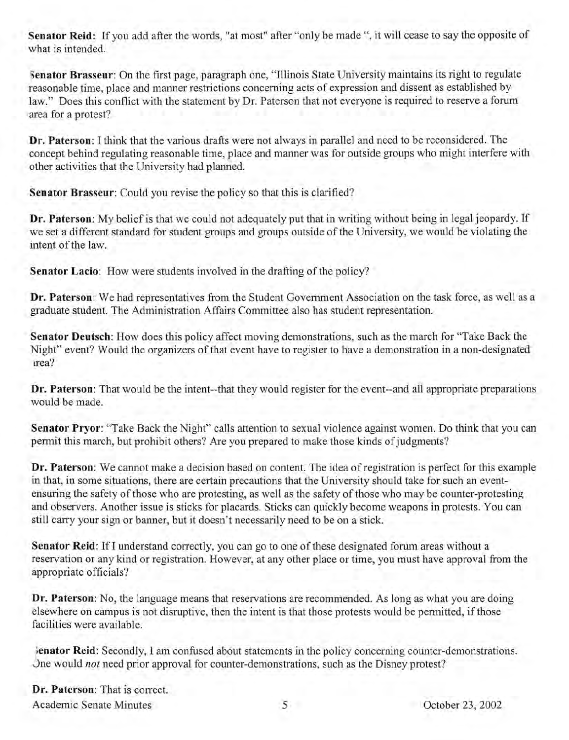Senator Reid: If you add after the words, "at most" after "only be made ", it will cease to say the opposite of what is intended.

Senator Brasseur: On the first page, paragraph one, "Illinois State University maintains its right to regulate reasonable time, place and manner restrictions concerning acts of expression and dissent as established by law." Does this conflict with the statement by Dr. Paterson that not everyone is required to reserve a forum area for a protest?

Dr. Paterson: I think that the various drafts were not always in parallel and need to be reconsidered. The concept behind regulating reasonable time, place and manner was for outside groups who might interfere with other activities that the University had planned.

Senator Brasseur: Could you revise the policy so that this is clarified?

Dr. Paterson: My belief is that we could not adequately put that in writing without being in legal jeopardy. If we set a different standard for student groups and groups outside of the University, we would be violating the intent of the law.

Senator Lacio: How were students involved in the drafting of the policy?

Dr. Paterson: We had representatives from the Student Government Association on the task force, as well as a graduate student. The Administration Affairs Committee also has student representation.

Senator Deutsch: How does this policy affect moving demonstrations, such as the march for "Take Back the Night" event? Would the organizers of that event have to register to have a demonstration in a non-designated lrea?

Dr. Paterson: That would be the intent--that they would register for the event--and all appropriate preparations would be made.

Senator Pryor: "Take Back the Night" calls attention to sexual violence against women. Do think that you can permit this march, but prohibit others? Are you prepared to make those kinds of judgments?

Dr. Paterson: We cannot make a decision based on content. The idea of registration is perfect for this example in that, in some situations, there are certain precautions that the University should take for such an eventensuring the safety of those who are protesting, as well as the safety of those who may be counter-protesting and observers. Another issue is sticks for placards. Sticks can quickly become weapons in protests. You can still carry your sign or banner, but it doesn't necessarily need to be on a stick.

Senator Reid: If I understand correctly, you can go to one of these designated forum areas without a reservation or any kind or registration. However, at any other place or time, you must have approval from the appropriate officials?

Dr. Paterson: No, the language means that reservations are recommended. As long as what you are doing elsewhere on campus is not disruptive, then the intent is that those protests would be permitted, if those facilities were available.

lenator Reid: Secondly, I am confused about statements in the policy concerning counter-demonstrations. Dne would *not* need prior approval for counter-demonstrations, such as the Disney protest?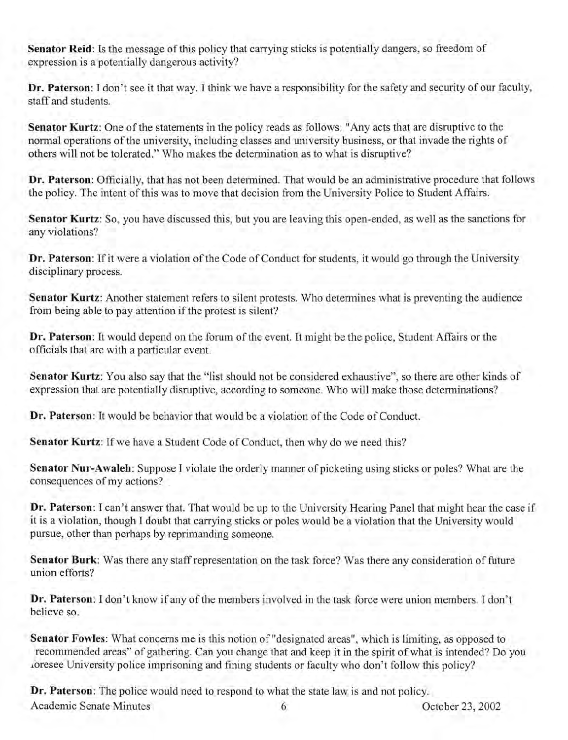Senator Reid: Is the message of this policy that carrying sticks is potentially dangers, so freedom of expression is a potentially dangerous activity?

Dr. Paterson: I don't see it that way. I think we have a responsibility for the safety and security of our faculty, staff and students.

Senator Kurtz: One of the statements in the policy reads as follows: "Any acts that are disruptive to the normal operations of the university, including classes and university business, or that invade the rights of others will not be tolerated." Who makes the determination as to what is disruptive?

Dr. Paterson: Officially, that has not been determined. That would be an administrative procedure that follows the policy. The intent of this was to move that decision from the University Police to Student Affairs.

Senator Kurtz: So, you have discussed this, but you are leaving this open-ended, as well as the sanctions for any violations?

Dr. Paterson: If it were a violation of the Code of Conduct for students, it would go through the University disciplinary process.

Senator Kurtz: Another statement refers to silent protests. Who determines what is preventing the audience from being able to pay attention if the protest is silent?

Dr. Paterson: It would depend on the forum of the event. It might be the police, Student Affairs or the officials that are with a particular event.

Senator Kurtz: You also say that the "list should not be considered exhaustive", so there are other kinds of expression that are potentially disruptive, according to someone. Who will make those determinations?

Dr. Paterson: It would be behavior that would be a violation of the Code of Conduct.

Senator Kurtz: If we have a Student Code of Conduct, then why do we need this?

Senator Nur-Awaleh: Suppose I violate the orderly manner of picketing using sticks or poles? What are the consequences of my actions?

Dr. Paterson: I can't answer that. That would be up to the University Hearing Panel that might hear the case if it is a violation, though I doubt that carrying sticks or poles would be a violation that the University would pursue, other than perhaps by reprimanding someone.

Senator Burk: Was there any staff representation on the task force? Was there any consideration of future union efforts?

Dr. Paterson: I don't know if any of the members involved in the task force were union members. I don't believe so.

Senator Fowles: What concerns me is this notion of "designated areas", which is limiting, as opposed to recommended areas" of gathering. Can you change that and keep it in the spirit of what is intended? Do you .ioresee University police imprisoning and fining students or faculty who don't follow this policy?

Dr. Paterson: The police would need to respond to what the state law is and not policy. Academic Senate Minutes 6 October 23,2002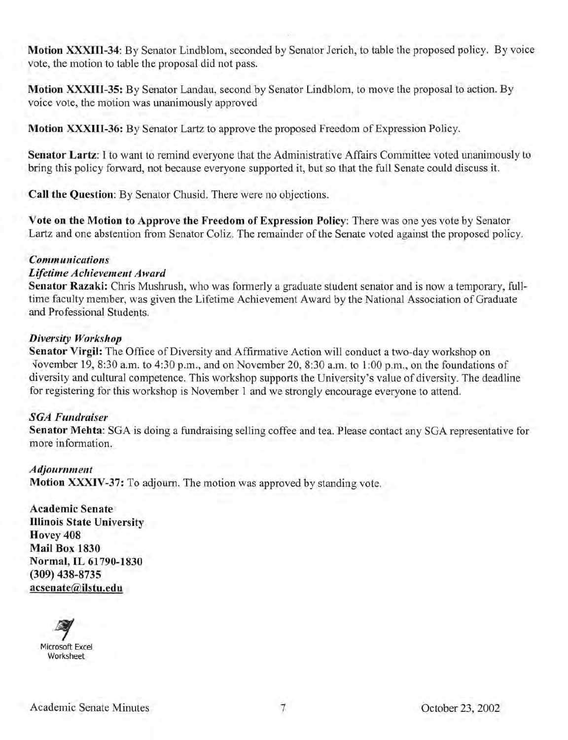**Motion XXXIII-34:** By Senator Lindblom, seconded by Senator Jerich, to table the proposed policy. By voice vote, the motion to table the proposal did not pass.

**Motion XXXIII-35:** By Senator Landau, second by Senator Lindblom, to move the proposal to action. By voice vote, the motion was unanimously approved

**Motion XXXIII-36:** By Senator Lartz to approve the proposed Freedom of Expression Policy.

**Senator Lartz:** I to want to remind everyone that the Administrative Affairs Committee voted unanimously to bring this policy forward, not because everyone supported it, but so that the full Senate could discuss it.

**Call the Question:** By Senator Chusid. There were no objections.

**Vote on the Motion to Approve the Freedom of Expression Policy:** There was one yes vote by Senator Lartz and one abstention from Senator Coliz. The remainder of the Senate voted against the proposed policy.

#### *Communications*

#### *Lifetime Achievement Award*

**Senator Razaki:** Chris Mushrush, who was formerly a graduate student senator and is now a temporary, fulltime faculty member, was given the Lifetime Achievement Award by the National Association of Graduate and Professional Students.

#### *Diversity Workshop*

**Senator Virgil:** The Office of Diversity and Affirmative Action will conduct a two-day workshop on Vovember 19, 8:30 a.m. to 4:30 p.m., and on November 20, 8:30 a.m. to 1:00 p.m., on the foundations of diversity and cultural competence. This workshop supports the University's value of diversity. The deadline for registering for this workshop is November 1 and we strongly encourage everyone to attend.

#### *SGA Fundraiser*

**Senator Mehta:** SGA is doing a fundraising selling coffee and tea. Please contact any SGA representative for more information.

*Adjournment*  **Motion XXXIV-37:** To adjourn. The motion was approved by standing vote.

**Academic Senate Illinois State University Hovey 408 Mail Box 1830 Normal, IL 61790-1830 (309) 438-8735 acsenate@ilstu.edu**